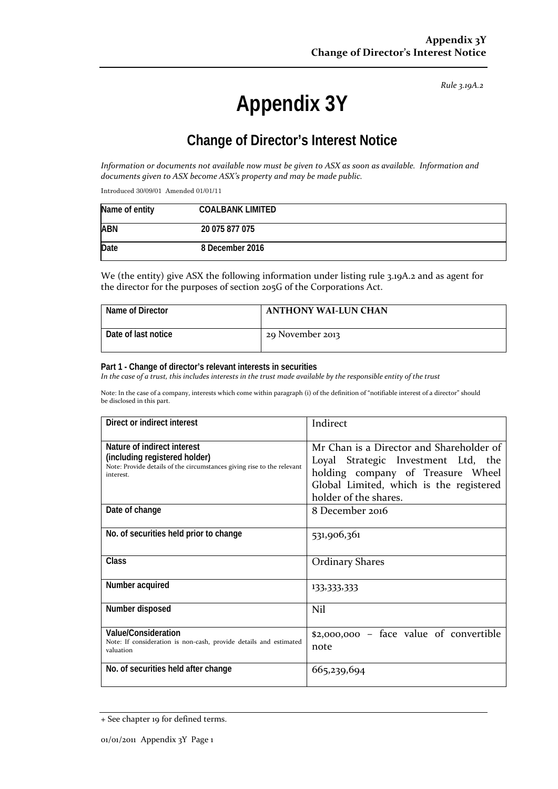*Rule 3.19A.2*

# **Appendix 3Y**

# **Change of Director's Interest Notice**

Information or documents not available now must be given to ASX as soon as available. Information and *documents given to ASX become ASX's property and may be made public.*

Introduced 30/09/01 Amended 01/01/11

| Name of entity | <b>COALBANK LIMITED</b> |
|----------------|-------------------------|
| <b>ABN</b>     | 20 075 877 075          |
| Date           | 8 December 2016         |

We (the entity) give ASX the following information under listing rule 3.19A.2 and as agent for the director for the purposes of section 205G of the Corporations Act.

| Name of Director    | <b>ANTHONY WAI-LUN CHAN</b> |
|---------------------|-----------------------------|
| Date of last notice | 29 November 2013            |

#### **Part 1 - Change of director's relevant interests in securities**

In the case of a trust, this includes interests in the trust made available by the responsible entity of the trust

Note: In the case of a company, interests which come within paragraph (i) of the definition of "notifiable interest of a director" should be disclosed in this part.

| Direct or indirect interest                                                                                                                         | Indirect                                                                                                                                                                                 |  |
|-----------------------------------------------------------------------------------------------------------------------------------------------------|------------------------------------------------------------------------------------------------------------------------------------------------------------------------------------------|--|
| Nature of indirect interest<br>(including registered holder)<br>Note: Provide details of the circumstances giving rise to the relevant<br>interest. | Mr Chan is a Director and Shareholder of<br>Loyal Strategic Investment Ltd, the<br>holding company of Treasure Wheel<br>Global Limited, which is the registered<br>holder of the shares. |  |
| Date of change                                                                                                                                      | 8 December 2016                                                                                                                                                                          |  |
| No. of securities held prior to change                                                                                                              | 531,906,361                                                                                                                                                                              |  |
| <b>Class</b>                                                                                                                                        | <b>Ordinary Shares</b>                                                                                                                                                                   |  |
| Number acquired                                                                                                                                     | 133,333,333                                                                                                                                                                              |  |
| Number disposed                                                                                                                                     | Nil                                                                                                                                                                                      |  |
| Value/Consideration<br>Note: If consideration is non-cash, provide details and estimated<br>valuation                                               | \$2,000,000 - face value of convertible<br>note                                                                                                                                          |  |
| No. of securities held after change                                                                                                                 | 665,239,694                                                                                                                                                                              |  |

<sup>+</sup> See chapter 19 for defined terms.